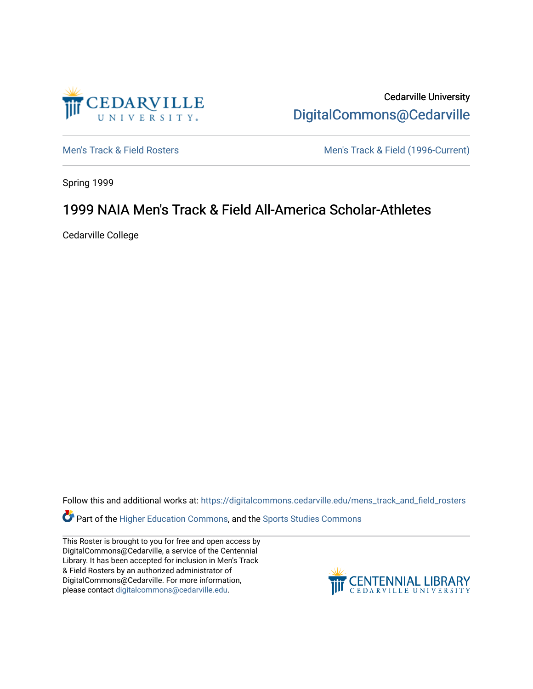

Cedarville University [DigitalCommons@Cedarville](https://digitalcommons.cedarville.edu/) 

[Men's Track & Field Rosters](https://digitalcommons.cedarville.edu/mens_track_and_field_rosters) Men's Track & Field (1996-Current)

Spring 1999

## 1999 NAIA Men's Track & Field All-America Scholar-Athletes

Cedarville College

Follow this and additional works at: [https://digitalcommons.cedarville.edu/mens\\_track\\_and\\_field\\_rosters](https://digitalcommons.cedarville.edu/mens_track_and_field_rosters?utm_source=digitalcommons.cedarville.edu%2Fmens_track_and_field_rosters%2F21&utm_medium=PDF&utm_campaign=PDFCoverPages)

Part of the [Higher Education Commons,](http://network.bepress.com/hgg/discipline/1245?utm_source=digitalcommons.cedarville.edu%2Fmens_track_and_field_rosters%2F21&utm_medium=PDF&utm_campaign=PDFCoverPages) and the [Sports Studies Commons](http://network.bepress.com/hgg/discipline/1198?utm_source=digitalcommons.cedarville.edu%2Fmens_track_and_field_rosters%2F21&utm_medium=PDF&utm_campaign=PDFCoverPages) 

This Roster is brought to you for free and open access by DigitalCommons@Cedarville, a service of the Centennial Library. It has been accepted for inclusion in Men's Track & Field Rosters by an authorized administrator of DigitalCommons@Cedarville. For more information, please contact [digitalcommons@cedarville.edu](mailto:digitalcommons@cedarville.edu).